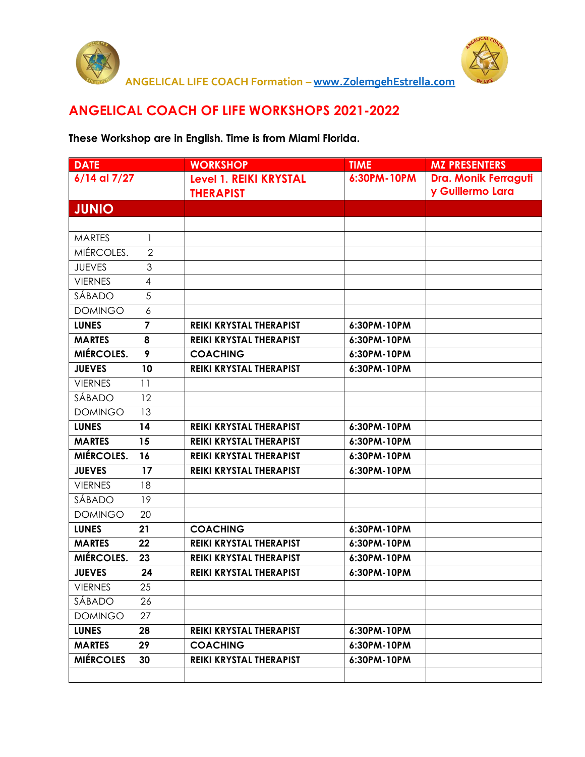



## **ANGELICAL COACH OF LIFE WORKSHOPS 2021-2022**

## **These Workshop are in English. Time is from Miami Florida.**

| <b>DATE</b>       |                         | <b>WORKSHOP</b>                | <b>TIME</b> | <b>MZ PRESENTERS</b> |
|-------------------|-------------------------|--------------------------------|-------------|----------------------|
| 6/14 al 7/27      |                         | <b>Level 1. REIKI KRYSTAL</b>  | 6:30PM-10PM | Dra. Monik Ferraguti |
|                   |                         | <b>THERAPIST</b>               |             | y Guillermo Lara     |
| <b>JUNIO</b>      |                         |                                |             |                      |
|                   |                         |                                |             |                      |
| <b>MARTES</b>     | 1                       |                                |             |                      |
| MIÉRCOLES.        | $\overline{2}$          |                                |             |                      |
| <b>JUEVES</b>     | 3                       |                                |             |                      |
| <b>VIERNES</b>    | $\overline{4}$          |                                |             |                      |
| SÁBADO            | 5                       |                                |             |                      |
| <b>DOMINGO</b>    | 6                       |                                |             |                      |
| <b>LUNES</b>      | $\overline{\mathbf{z}}$ | REIKI KRYSTAL THERAPIST        | 6:30PM-10PM |                      |
| <b>MARTES</b>     | 8                       | <b>REIKI KRYSTAL THERAPIST</b> | 6:30PM-10PM |                      |
| <b>MIÉRCOLES.</b> | 9                       | <b>COACHING</b>                | 6:30PM-10PM |                      |
| <b>JUEVES</b>     | 10                      | <b>REIKI KRYSTAL THERAPIST</b> | 6:30PM-10PM |                      |
| <b>VIERNES</b>    | 11                      |                                |             |                      |
| SÁBADO            | 12                      |                                |             |                      |
| <b>DOMINGO</b>    | 13                      |                                |             |                      |
| <b>LUNES</b>      | 14                      | REIKI KRYSTAL THERAPIST        | 6:30PM-10PM |                      |
| <b>MARTES</b>     | 15                      | REIKI KRYSTAL THERAPIST        | 6:30PM-10PM |                      |
| MIÉRCOLES.        | 16                      | REIKI KRYSTAL THERAPIST        | 6:30PM-10PM |                      |
| <b>JUEVES</b>     | 17                      | REIKI KRYSTAL THERAPIST        | 6:30PM-10PM |                      |
| <b>VIERNES</b>    | 18                      |                                |             |                      |
| SÁBADO            | 19                      |                                |             |                      |
| <b>DOMINGO</b>    | 20                      |                                |             |                      |
| <b>LUNES</b>      | 21                      | <b>COACHING</b>                | 6:30PM-10PM |                      |
| <b>MARTES</b>     | 22                      | REIKI KRYSTAL THERAPIST        | 6:30PM-10PM |                      |
| MIÉRCOLES.        | 23                      | REIKI KRYSTAL THERAPIST        | 6:30PM-10PM |                      |
| <b>JUEVES</b>     | 24                      | REIKI KRYSTAL THERAPIST        | 6:30PM-10PM |                      |
| <b>VIERNES</b>    | 25                      |                                |             |                      |
| SÁBADO            | 26                      |                                |             |                      |
| <b>DOMINGO</b>    | 27                      |                                |             |                      |
| <b>LUNES</b>      | 28                      | REIKI KRYSTAL THERAPIST        | 6:30PM-10PM |                      |
| <b>MARTES</b>     | 29                      | <b>COACHING</b>                | 6:30PM-10PM |                      |
| <b>MIÉRCOLES</b>  | 30                      | REIKI KRYSTAL THERAPIST        | 6:30PM-10PM |                      |
|                   |                         |                                |             |                      |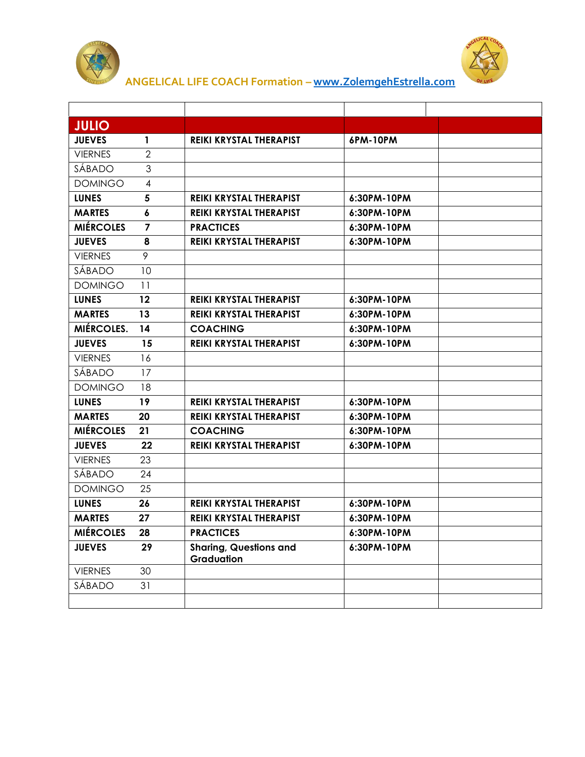



 **ANGELICAL LIFE COACH Formation – [www.ZolemgehEstrella.com](http://www.zolemgehestrella.com/)**

| <b>JULIO</b>      |                  |                                             |             |  |
|-------------------|------------------|---------------------------------------------|-------------|--|
| <b>JUEVES</b>     | 1                | <b>REIKI KRYSTAL THERAPIST</b>              | 6PM-10PM    |  |
| <b>VIERNES</b>    | $\overline{2}$   |                                             |             |  |
| SÁBADO            | 3                |                                             |             |  |
| <b>DOMINGO</b>    | 4                |                                             |             |  |
| <b>LUNES</b>      | 5                | REIKI KRYSTAL THERAPIST                     | 6:30PM-10PM |  |
| <b>MARTES</b>     | $\boldsymbol{6}$ | REIKI KRYSTAL THERAPIST                     | 6:30PM-10PM |  |
| <b>MIÉRCOLES</b>  | 7                | <b>PRACTICES</b>                            | 6:30PM-10PM |  |
| <b>JUEVES</b>     | 8                | REIKI KRYSTAL THERAPIST                     | 6:30PM-10PM |  |
| <b>VIERNES</b>    | 9                |                                             |             |  |
| SÁBADO            | 10               |                                             |             |  |
| <b>DOMINGO</b>    | 11               |                                             |             |  |
| <b>LUNES</b>      | 12               | REIKI KRYSTAL THERAPIST                     | 6:30PM-10PM |  |
| <b>MARTES</b>     | 13               | REIKI KRYSTAL THERAPIST                     | 6:30PM-10PM |  |
| <b>MIÉRCOLES.</b> | 14               | <b>COACHING</b>                             | 6:30PM-10PM |  |
| <b>JUEVES</b>     | 15               | REIKI KRYSTAL THERAPIST                     | 6:30PM-10PM |  |
| <b>VIERNES</b>    | 16               |                                             |             |  |
| SÁBADO            | 17               |                                             |             |  |
| <b>DOMINGO</b>    | 18               |                                             |             |  |
| <b>LUNES</b>      | 19               | REIKI KRYSTAL THERAPIST                     | 6:30PM-10PM |  |
| <b>MARTES</b>     | 20               | REIKI KRYSTAL THERAPIST                     | 6:30PM-10PM |  |
| <b>MIÉRCOLES</b>  | 21               | <b>COACHING</b>                             | 6:30PM-10PM |  |
| <b>JUEVES</b>     | 22               | REIKI KRYSTAL THERAPIST                     | 6:30PM-10PM |  |
| <b>VIERNES</b>    | 23               |                                             |             |  |
| SÁBADO            | 24               |                                             |             |  |
| <b>DOMINGO</b>    | 25               |                                             |             |  |
| <b>LUNES</b>      | 26               | REIKI KRYSTAL THERAPIST                     | 6:30PM-10PM |  |
| <b>MARTES</b>     | 27               | <b>REIKI KRYSTAL THERAPIST</b>              | 6:30PM-10PM |  |
| <b>MIÉRCOLES</b>  | 28               | <b>PRACTICES</b>                            | 6:30PM-10PM |  |
| <b>JUEVES</b>     | 29               | <b>Sharing, Questions and</b><br>Graduation | 6:30PM-10PM |  |
| <b>VIERNES</b>    | 30               |                                             |             |  |
| SÁBADO            | 31               |                                             |             |  |
|                   |                  |                                             |             |  |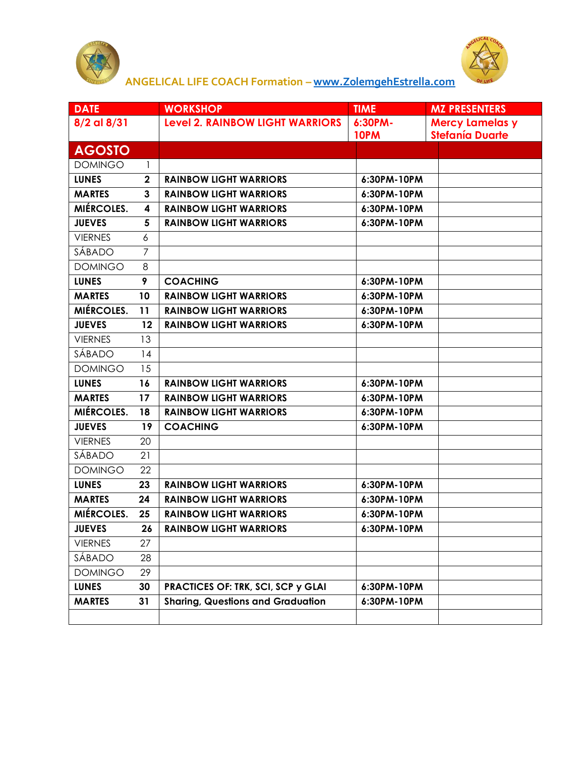



 **ANGELICAL LIFE COACH Formation – [www.ZolemgehEstrella.com](http://www.zolemgehestrella.com/)**

| <b>DATE</b>    |                | <b>WORKSHOP</b>                           | <b>TIME</b> | <b>MZ PRESENTERS</b>   |
|----------------|----------------|-------------------------------------------|-------------|------------------------|
| 8/2 al 8/31    |                | <b>Level 2. RAINBOW LIGHT WARRIORS</b>    | 6:30PM-     | <b>Mercy Lamelas y</b> |
|                |                |                                           | 10PM        | <b>Stefanía Duarte</b> |
| <b>AGOSTO</b>  |                |                                           |             |                        |
| <b>DOMINGO</b> | 1              |                                           |             |                        |
| <b>LUNES</b>   | $\mathbf 2$    | <b>RAINBOW LIGHT WARRIORS</b>             | 6:30PM-10PM |                        |
| <b>MARTES</b>  | $\mathbf{3}$   | <b>RAINBOW LIGHT WARRIORS</b>             | 6:30PM-10PM |                        |
| MIÉRCOLES.     | 4              | <b>RAINBOW LIGHT WARRIORS</b>             | 6:30PM-10PM |                        |
| <b>JUEVES</b>  | 5              | <b>RAINBOW LIGHT WARRIORS</b>             | 6:30PM-10PM |                        |
| <b>VIERNES</b> | 6              |                                           |             |                        |
| SÁBADO         | $\overline{7}$ |                                           |             |                        |
| <b>DOMINGO</b> | 8              |                                           |             |                        |
| <b>LUNES</b>   | 9              | <b>COACHING</b>                           | 6:30PM-10PM |                        |
| <b>MARTES</b>  | 10             | <b>RAINBOW LIGHT WARRIORS</b>             | 6:30PM-10PM |                        |
| MIÉRCOLES.     | 11             | <b>RAINBOW LIGHT WARRIORS</b>             | 6:30PM-10PM |                        |
| <b>JUEVES</b>  | 12             | <b>RAINBOW LIGHT WARRIORS</b>             | 6:30PM-10PM |                        |
| <b>VIERNES</b> | 13             |                                           |             |                        |
| SÁBADO         | 14             |                                           |             |                        |
| <b>DOMINGO</b> | 15             |                                           |             |                        |
| <b>LUNES</b>   | 16             | <b>RAINBOW LIGHT WARRIORS</b>             | 6:30PM-10PM |                        |
| <b>MARTES</b>  | 17             | <b>RAINBOW LIGHT WARRIORS</b>             | 6:30PM-10PM |                        |
| MIÉRCOLES.     | 18             | <b>RAINBOW LIGHT WARRIORS</b>             | 6:30PM-10PM |                        |
| <b>JUEVES</b>  | 19             | <b>COACHING</b>                           | 6:30PM-10PM |                        |
| <b>VIERNES</b> | 20             |                                           |             |                        |
| SÁBADO         | 21             |                                           |             |                        |
| <b>DOMINGO</b> | 22             |                                           |             |                        |
| <b>LUNES</b>   | 23             | <b>RAINBOW LIGHT WARRIORS</b>             | 6:30PM-10PM |                        |
| <b>MARTES</b>  | 24             | <b>RAINBOW LIGHT WARRIORS</b>             | 6:30PM-10PM |                        |
| MIÉRCOLES.     | 25             | <b>RAINBOW LIGHT WARRIORS</b>             | 6:30PM-10PM |                        |
| <b>JUEVES</b>  | 26             | <b>RAINBOW LIGHT WARRIORS</b>             | 6:30PM-10PM |                        |
| <b>VIERNES</b> | 27             |                                           |             |                        |
| SÁBADO         | 28             |                                           |             |                        |
| <b>DOMINGO</b> | 29             |                                           |             |                        |
| <b>LUNES</b>   | 30             | <b>PRACTICES OF: TRK, SCI, SCP y GLAI</b> | 6:30PM-10PM |                        |
| <b>MARTES</b>  | 31             | <b>Sharing, Questions and Graduation</b>  | 6:30PM-10PM |                        |
|                |                |                                           |             |                        |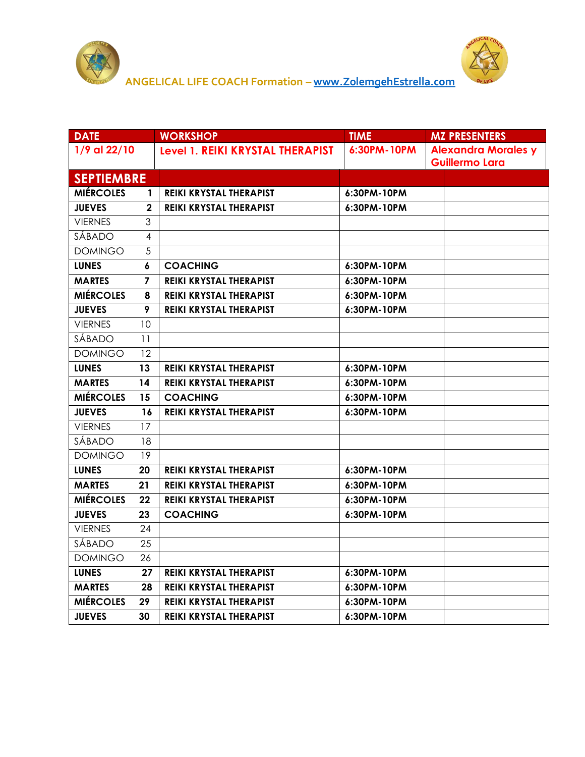



| <b>DATE</b>       |              | <b>WORKSHOP</b>                  | <b>TIME</b>   | <b>MZ PRESENTERS</b>                                |
|-------------------|--------------|----------------------------------|---------------|-----------------------------------------------------|
| 1/9 al 22/10      |              | Level 1. REIKI KRYSTAL THERAPIST | 6:30PM-10PM   | <b>Alexandra Morales y</b><br><b>Guillermo Lara</b> |
| <b>SEPTIEMBRE</b> |              |                                  |               |                                                     |
| <b>MIÉRCOLES</b>  | $\mathbf{1}$ | <b>REIKI KRYSTAL THERAPIST</b>   | 6:30PM-10PM   |                                                     |
| <b>JUEVES</b>     | $\mathbf{2}$ | REIKI KRYSTAL THERAPIST          | 6:30PM-10PM   |                                                     |
| <b>VIERNES</b>    | 3            |                                  |               |                                                     |
| SÁBADO            | 4            |                                  |               |                                                     |
| <b>DOMINGO</b>    | 5            |                                  |               |                                                     |
| <b>LUNES</b>      | 6            | <b>COACHING</b>                  | 6:30PM-10PM   |                                                     |
| <b>MARTES</b>     | 7            | REIKI KRYSTAL THERAPIST          | 6:30PM-10PM   |                                                     |
| <b>MIÉRCOLES</b>  | 8            | REIKI KRYSTAL THERAPIST          | 6:30PM-10PM   |                                                     |
| <b>JUEVES</b>     | 9            | REIKI KRYSTAL THERAPIST          | 6:30PM-10PM   |                                                     |
| <b>VIERNES</b>    | 10           |                                  |               |                                                     |
| SÁBADO            | 11           |                                  |               |                                                     |
| <b>DOMINGO</b>    | 12           |                                  |               |                                                     |
| <b>LUNES</b>      | 13           | <b>REIKI KRYSTAL THERAPIST</b>   | $6:30PM-10PM$ |                                                     |
| <b>MARTES</b>     | 14           | REIKI KRYSTAL THERAPIST          | 6:30PM-10PM   |                                                     |
| <b>MIÉRCOLES</b>  | 15           | <b>COACHING</b>                  | 6:30PM-10PM   |                                                     |
| <b>JUEVES</b>     | 16           | REIKI KRYSTAL THERAPIST          | 6:30PM-10PM   |                                                     |
| <b>VIERNES</b>    | 17           |                                  |               |                                                     |
| SÁBADO            | 18           |                                  |               |                                                     |
| <b>DOMINGO</b>    | 19           |                                  |               |                                                     |
| <b>LUNES</b>      | 20           | <b>REIKI KRYSTAL THERAPIST</b>   | 6:30PM-10PM   |                                                     |
| <b>MARTES</b>     | 21           | REIKI KRYSTAL THERAPIST          | 6:30PM-10PM   |                                                     |
| <b>MIÉRCOLES</b>  | 22           | <b>REIKI KRYSTAL THERAPIST</b>   | 6:30PM-10PM   |                                                     |
| <b>JUEVES</b>     | 23           | <b>COACHING</b>                  | 6:30PM-10PM   |                                                     |
| <b>VIERNES</b>    | 24           |                                  |               |                                                     |
| SÁBADO            | 25           |                                  |               |                                                     |
| <b>DOMINGO</b>    | 26           |                                  |               |                                                     |
| <b>LUNES</b>      | 27           | <b>REIKI KRYSTAL THERAPIST</b>   | 6:30PM-10PM   |                                                     |
| <b>MARTES</b>     | 28           | <b>REIKI KRYSTAL THERAPIST</b>   | 6:30PM-10PM   |                                                     |
| <b>MIÉRCOLES</b>  | 29           | <b>REIKI KRYSTAL THERAPIST</b>   | 6:30PM-10PM   |                                                     |
| <b>JUEVES</b>     | 30           | <b>REIKI KRYSTAL THERAPIST</b>   | 6:30PM-10PM   |                                                     |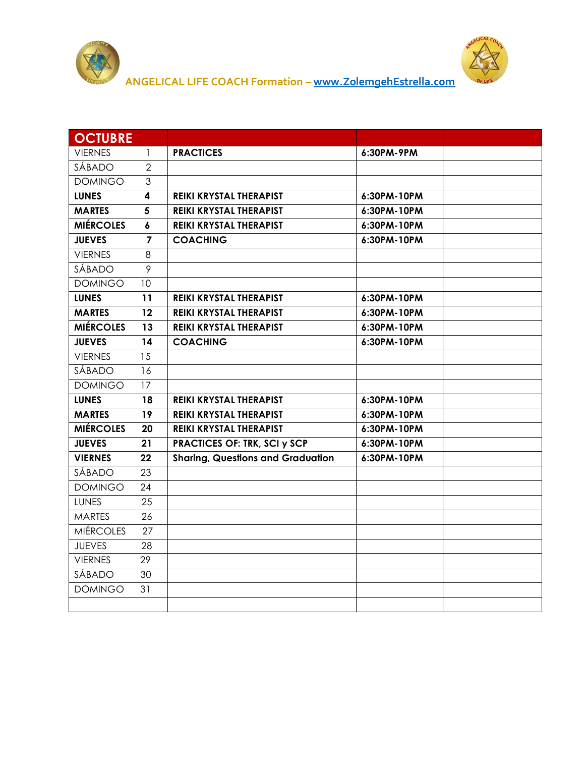



| <b>OCTUBRE</b>   |                |                                          |             |  |
|------------------|----------------|------------------------------------------|-------------|--|
| <b>VIERNES</b>   | $\mathbf{1}$   | <b>PRACTICES</b>                         | 6:30PM-9PM  |  |
| SÁBADO           | $\overline{2}$ |                                          |             |  |
| <b>DOMINGO</b>   | $\mathfrak{Z}$ |                                          |             |  |
| <b>LUNES</b>     | 4              | <b>REIKI KRYSTAL THERAPIST</b>           | 6:30PM-10PM |  |
| <b>MARTES</b>    | 5              | REIKI KRYSTAL THERAPIST                  | 6:30PM-10PM |  |
| <b>MIÉRCOLES</b> | 6              | <b>REIKI KRYSTAL THERAPIST</b>           | 6:30PM-10PM |  |
| <b>JUEVES</b>    | 7              | <b>COACHING</b>                          | 6:30PM-10PM |  |
| <b>VIERNES</b>   | 8              |                                          |             |  |
| SÁBADO           | 9              |                                          |             |  |
| <b>DOMINGO</b>   | 10             |                                          |             |  |
| <b>LUNES</b>     | 11             | <b>REIKI KRYSTAL THERAPIST</b>           | 6:30PM-10PM |  |
| <b>MARTES</b>    | 12             | <b>REIKI KRYSTAL THERAPIST</b>           | 6:30PM-10PM |  |
| <b>MIÉRCOLES</b> | 13             | <b>REIKI KRYSTAL THERAPIST</b>           | 6:30PM-10PM |  |
| <b>JUEVES</b>    | 14             | <b>COACHING</b>                          | 6:30PM-10PM |  |
| <b>VIERNES</b>   | 15             |                                          |             |  |
| SÁBADO           | 16             |                                          |             |  |
| <b>DOMINGO</b>   | 17             |                                          |             |  |
| <b>LUNES</b>     | 18             | REIKI KRYSTAL THERAPIST                  | 6:30PM-10PM |  |
| <b>MARTES</b>    | 19             | REIKI KRYSTAL THERAPIST                  | 6:30PM-10PM |  |
| <b>MIÉRCOLES</b> | 20             | REIKI KRYSTAL THERAPIST                  | 6:30PM-10PM |  |
| <b>JUEVES</b>    | 21             | <b>PRACTICES OF: TRK, SCI y SCP</b>      | 6:30PM-10PM |  |
| <b>VIERNES</b>   | 22             | <b>Sharing, Questions and Graduation</b> | 6:30PM-10PM |  |
| SÁBADO           | 23             |                                          |             |  |
| <b>DOMINGO</b>   | 24             |                                          |             |  |
| LUNES            | 25             |                                          |             |  |
| <b>MARTES</b>    | 26             |                                          |             |  |
| <b>MIÉRCOLES</b> | 27             |                                          |             |  |
| <b>JUEVES</b>    | 28             |                                          |             |  |
| <b>VIERNES</b>   | 29             |                                          |             |  |
| SÁBADO           | 30             |                                          |             |  |
| <b>DOMINGO</b>   | 31             |                                          |             |  |
|                  |                |                                          |             |  |